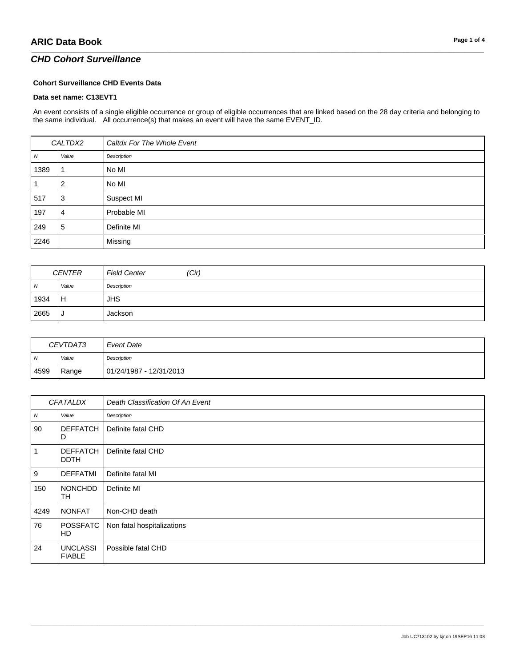## *CHD Cohort Surveillance*

#### **Cohort Surveillance CHD Events Data**

#### **Data set name: C13EVT1**

An event consists of a single eligible occurrence or group of eligible occurrences that are linked based on the 28 day criteria and belonging to the same individual. All occurrence(s) that makes an event will have the same EVENT\_ID.

\_\_\_\_\_\_\_\_\_\_\_\_\_\_\_\_\_\_\_\_\_\_\_\_\_\_\_\_\_\_\_\_\_\_\_\_\_\_\_\_\_\_\_\_\_\_\_\_\_\_\_\_\_\_\_\_\_\_\_\_\_\_\_\_\_\_\_\_\_\_\_\_\_\_\_\_\_\_\_\_\_\_\_\_\_\_\_\_\_\_\_\_\_\_\_\_\_\_\_\_\_\_\_\_\_\_\_\_\_\_\_\_\_\_\_\_\_\_\_\_\_\_\_\_\_\_\_\_\_\_\_\_\_\_\_\_\_\_\_\_\_\_\_\_\_\_\_\_\_\_\_\_\_\_\_\_\_\_\_\_\_\_\_\_\_\_\_\_\_\_\_\_\_\_\_\_\_\_\_\_\_\_\_\_\_\_\_\_\_\_\_\_\_

| CALTDX2 |       | Caltdx For The Whole Event |
|---------|-------|----------------------------|
| Ν       | Value | Description                |
| 1389    |       | No MI                      |
|         | 2     | No MI                      |
| 517     | 3     | Suspect MI                 |
| 197     | 4     | Probable MI                |
| 249     | 5     | Definite MI                |
| 2246    |       | Missing                    |

| CENTER |       | (Cir)<br><b>Field Center</b> |
|--------|-------|------------------------------|
| N      | Value | Description                  |
| 1934   | Н     | <b>JHS</b>                   |
| 2665   | J     | Jackson                      |

| CEVTDAT3       |       | Event Date              |
|----------------|-------|-------------------------|
| $\overline{M}$ | Value | Description             |
| 4599           | Range | 01/24/1987 - 12/31/2013 |

| <b>CFATALDX</b> |                                  | Death Classification Of An Event |
|-----------------|----------------------------------|----------------------------------|
| ${\cal N}$      | Value                            | Description                      |
| 90              | <b>DEFFATCH</b><br>D             | Definite fatal CHD               |
| $\mathbf{1}$    | DEFFATCH<br><b>DDTH</b>          | Definite fatal CHD               |
| $\mathsf g$     | <b>DEFFATMI</b>                  | Definite fatal MI                |
| 150             | <b>NONCHDD</b><br><b>TH</b>      | Definite MI                      |
| 4249            | <b>NONFAT</b>                    | Non-CHD death                    |
| 76              | <b>POSSFATC</b><br>HD            | Non fatal hospitalizations       |
| 24              | <b>UNCLASSI</b><br><b>FIABLE</b> | Possible fatal CHD               |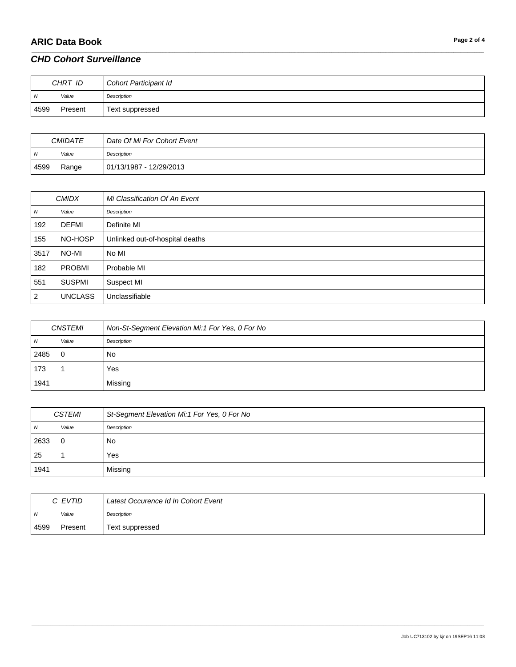# **ARIC Data Book Page 2 of 4**

| CHRT_ID        |         | Cohort Participant Id |
|----------------|---------|-----------------------|
| $\overline{N}$ | Value   | Description           |
| 4599           | Present | Text suppressed       |

\_\_\_\_\_\_\_\_\_\_\_\_\_\_\_\_\_\_\_\_\_\_\_\_\_\_\_\_\_\_\_\_\_\_\_\_\_\_\_\_\_\_\_\_\_\_\_\_\_\_\_\_\_\_\_\_\_\_\_\_\_\_\_\_\_\_\_\_\_\_\_\_\_\_\_\_\_\_\_\_\_\_\_\_\_\_\_\_\_\_\_\_\_\_\_\_\_\_\_\_\_\_\_\_\_\_\_\_\_\_\_\_\_\_\_\_\_\_\_\_\_\_\_\_\_\_\_\_\_\_\_\_\_\_\_\_\_\_\_\_\_\_\_\_\_\_\_\_\_\_\_\_\_\_\_\_\_\_\_\_\_\_\_\_\_\_\_\_\_\_\_\_\_\_\_\_\_\_\_\_\_\_\_\_\_\_\_\_\_\_\_\_\_

| <b>CMIDATE</b> |       | Date Of Mi For Cohort Event |
|----------------|-------|-----------------------------|
| N              | Value | Description                 |
| 4599           | Range | 01/13/1987 - 12/29/2013     |

| <b>CMIDX</b>     |                | Mi Classification Of An Event   |
|------------------|----------------|---------------------------------|
| $\boldsymbol{N}$ | Value          | Description                     |
| 192              | <b>DEFMI</b>   | Definite MI                     |
| 155              | NO-HOSP        | Unlinked out-of-hospital deaths |
| 3517             | NO-MI          | No MI                           |
| 182              | PROBMI         | Probable MI                     |
| 551              | <b>SUSPMI</b>  | Suspect MI                      |
| $\overline{c}$   | <b>UNCLASS</b> | Unclassifiable                  |

| <b>CNSTEMI</b> |          | Non-St-Segment Elevation Mi:1 For Yes, 0 For No |
|----------------|----------|-------------------------------------------------|
| N              | Value    | Description                                     |
| 2485           | $\Omega$ | No                                              |
| 173            |          | Yes                                             |
| 1941           |          | Missing                                         |

| <i>CSTEMI</i> |          | St-Segment Elevation Mi:1 For Yes, 0 For No |
|---------------|----------|---------------------------------------------|
| N             | Value    | Description                                 |
| 2633          | $\Omega$ | No                                          |
| 25            |          | Yes                                         |
| 1941          |          | Missing                                     |

| C EVTID |         | Latest Occurence Id In Cohort Event |
|---------|---------|-------------------------------------|
| N       | Value   | Description                         |
| 4599    | Present | Text suppressed                     |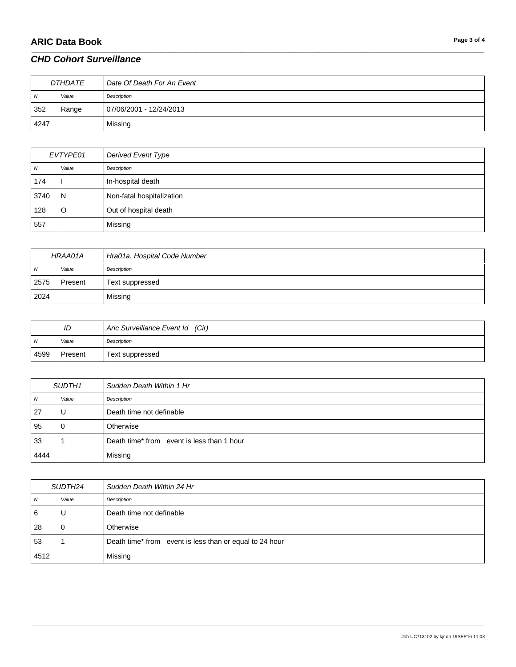# **ARIC Data Book Page 3 of 4**

| <b>DTHDATE</b> |       | Date Of Death For An Event |
|----------------|-------|----------------------------|
| $\overline{N}$ | Value | Description                |
| 352            | Range | 07/06/2001 - 12/24/2013    |
| 4247           |       | Missing                    |

\_\_\_\_\_\_\_\_\_\_\_\_\_\_\_\_\_\_\_\_\_\_\_\_\_\_\_\_\_\_\_\_\_\_\_\_\_\_\_\_\_\_\_\_\_\_\_\_\_\_\_\_\_\_\_\_\_\_\_\_\_\_\_\_\_\_\_\_\_\_\_\_\_\_\_\_\_\_\_\_\_\_\_\_\_\_\_\_\_\_\_\_\_\_\_\_\_\_\_\_\_\_\_\_\_\_\_\_\_\_\_\_\_\_\_\_\_\_\_\_\_\_\_\_\_\_\_\_\_\_\_\_\_\_\_\_\_\_\_\_\_\_\_\_\_\_\_\_\_\_\_\_\_\_\_\_\_\_\_\_\_\_\_\_\_\_\_\_\_\_\_\_\_\_\_\_\_\_\_\_\_\_\_\_\_\_\_\_\_\_\_\_\_

| EVTYPE01 |       | Derived Event Type        |
|----------|-------|---------------------------|
| N        | Value | Description               |
| 174      |       | In-hospital death         |
| 3740     | N     | Non-fatal hospitalization |
| 128      | O     | Out of hospital death     |
| 557      |       | Missing                   |

| HRAA01A |         | Hra01a. Hospital Code Number |
|---------|---------|------------------------------|
| N       | Value   | Description                  |
| 2575    | Present | Text suppressed              |
| 2024    |         | Missing                      |

| ID             |         | Aric Surveillance Event Id (Cir) |
|----------------|---------|----------------------------------|
| $\overline{N}$ | Value   | Description                      |
| 4599           | Present | Text suppressed                  |

| SUDTH <sub>1</sub> |       | Sudden Death Within 1 Hr                   |
|--------------------|-------|--------------------------------------------|
| N                  | Value | Description                                |
| 27                 | U     | Death time not definable                   |
| 95                 |       | Otherwise                                  |
| 33                 |       | Death time* from event is less than 1 hour |
| 4444               |       | Missing                                    |

| SUDTH24 |       | Sudden Death Within 24 Hr                               |
|---------|-------|---------------------------------------------------------|
| N       | Value | Description                                             |
| 6       | U     | Death time not definable                                |
| 28      |       | Otherwise                                               |
| 53      |       | Death time* from event is less than or equal to 24 hour |
| 4512    |       | Missing                                                 |